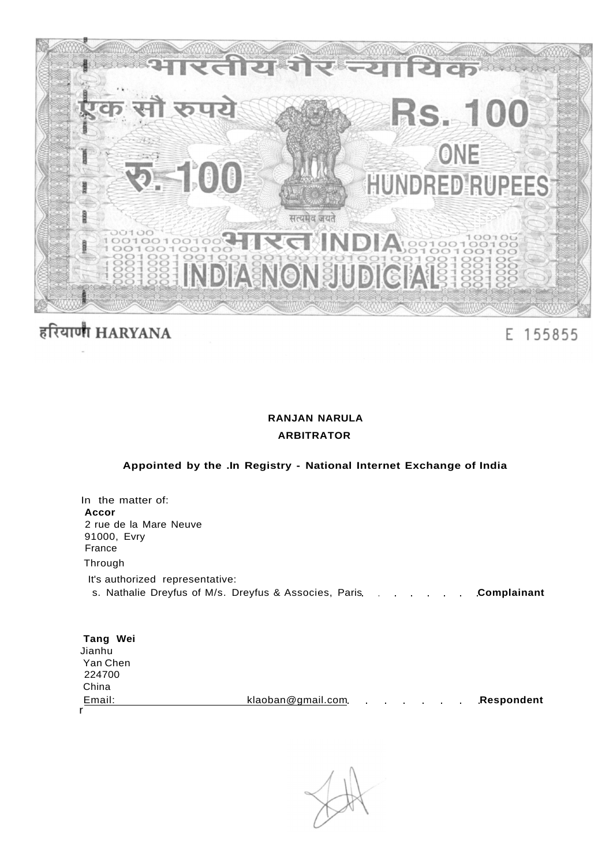

# हरियाणी HARYANA

## E 155855

## **RANJAN NARULA ARBITRATOR**

## **Appointed by the .In Registry - National Internet Exchange of India**

| In the matter of:                                                                                       |
|---------------------------------------------------------------------------------------------------------|
| Accor                                                                                                   |
| 2 rue de la Mare Neuve<br>91000, Evry<br>France                                                         |
| Through                                                                                                 |
| It's authorized representative:<br>s. Nathalie Dreyfus of M/s. Dreyfus & Associes, Paris<br>Complainant |
| $T = 4.4$ $M_{\odot}$ :                                                                                 |

| rang wer |                   |                                              |  |  |            |
|----------|-------------------|----------------------------------------------|--|--|------------|
| Jianhu   |                   |                                              |  |  |            |
| Yan Chen |                   |                                              |  |  |            |
| 224700   |                   |                                              |  |  |            |
| China    |                   |                                              |  |  |            |
| Email:   | klaoban@gmail.com | the control of the control of the control of |  |  | Respondent |
|          |                   |                                              |  |  |            |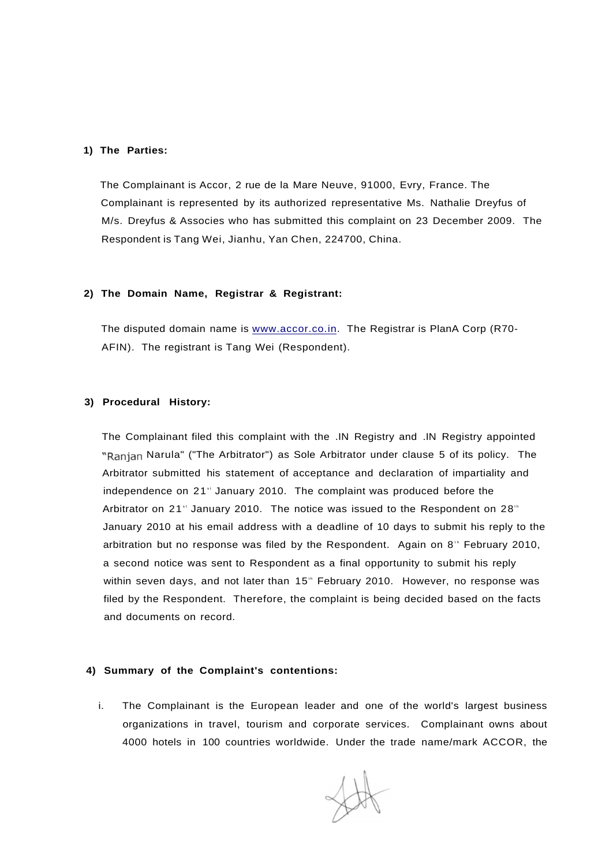#### **1) The Parties:**

The Complainant is Accor, 2 rue de la Mare Neuve, 91000, Evry, France. The Complainant is represented by its authorized representative Ms. Nathalie Dreyfus of M/s. Dreyfus & Associes who has submitted this complaint on 23 December 2009. The Respondent is Tang Wei, Jianhu, Yan Chen, 224700, China.

#### **2) The Domain Name, Registrar & Registrant:**

The disputed domain name is [www.accor.co.in.](http://www.accor.co.in) The Registrar is PlanA Corp (R70- AFIN). The registrant is Tang Wei (Respondent).

#### **3) Procedural History:**

The Complainant filed this complaint with the .IN Registry and .IN Registry appointed "Ranjan Narula" ("The Arbitrator") as Sole Arbitrator under clause 5 of its policy. The Arbitrator submitted his statement of acceptance and declaration of impartiality and independence on 21<sup>st</sup> January 2010. The complaint was produced before the Arbitrator on 21" January 2010. The notice was issued to the Respondent on 28" January 2010 at his email address with a deadline of 10 days to submit his reply to the arbitration but no response was filed by the Respondent. Again on  $8<sup>th</sup>$  February 2010, a second notice was sent to Respondent as a final opportunity to submit his reply within seven days, and not later than 15" February 2010. However, no response was filed by the Respondent. Therefore, the complaint is being decided based on the facts and documents on record.

### **4) Summary of the Complaint's contentions:**

i. The Complainant is the European leader and one of the world's largest business organizations in travel, tourism and corporate services. Complainant owns about 4000 hotels in 100 countries worldwide. Under the trade name/mark ACCOR, the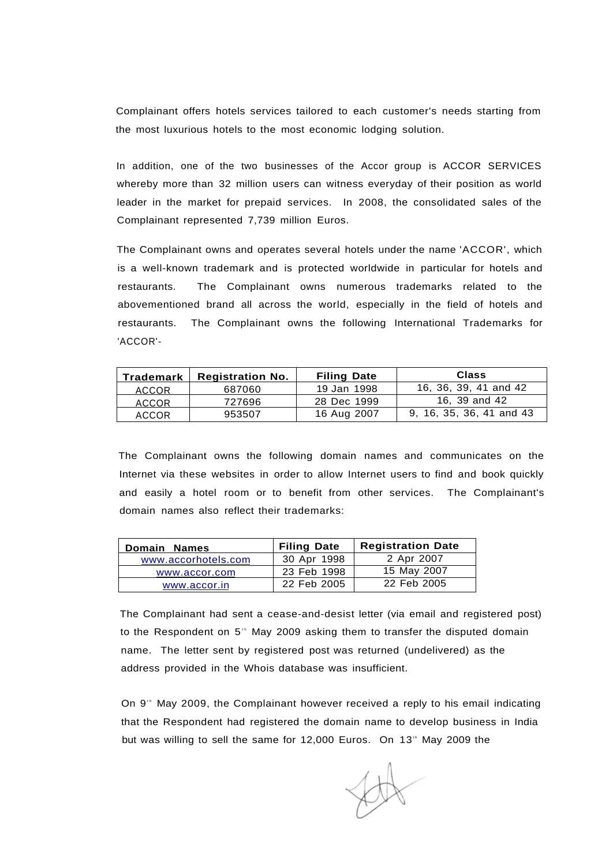Complainant offers hotels services tailored to each customer's needs starting from the most luxurious hotels to the most economic lodging solution.

In addition, one of the two businesses of the Accor group is ACCOR SERVICES whereby more than 32 million users can witness everyday of their position as world leader in the market for prepaid services. In 2008, the consolidated sales of the Complainant represented 7,739 million Euros.

The Complainant owns and operates several hotels under the name 'ACCOR', which is a well-known trademark and is protected worldwide in particular for hotels and restaurants. The Complainant owns numerous trademarks related to the abovementioned brand all across the world, especially in the field of hotels and restaurants. The Complainant owns the following International Trademarks for 'ACCOR'-

| Trademark    | <b>Registration No.</b> | <b>Filing Date</b> | <b>Class</b>             |  |  |
|--------------|-------------------------|--------------------|--------------------------|--|--|
| ACCOR        | 687060                  | 19 Jan 1998        | 16, 36, 39, 41 and 42    |  |  |
| <b>ACCOR</b> | 727696                  | 28 Dec 1999        | 16, 39 and 42            |  |  |
| <b>ACCOR</b> | 953507                  | 16 Aug 2007        | 9, 16, 35, 36, 41 and 43 |  |  |

The Complainant owns the following domain names and communicates on the Internet via these websites in order to allow Internet users to find and book quickly and easily a hotel room or to benefit from other services. The Complainant's domain names also reflect their trademarks:

| Domain Names        | <b>Filing Date</b> | <b>Registration Date</b> |
|---------------------|--------------------|--------------------------|
| www.accorhotels.com | 30 Apr 1998        | 2 Apr 2007               |
| www.accor.com       | 23 Feb 1998        | 15 May 2007              |
| www.accor.in        | 22 Feb 2005        | 22 Feb 2005              |

The Complainant had sent a cease-and-desist letter (via email and registered post) to the Respondent on 5<sup>th</sup> May 2009 asking them to transfer the disputed domain name. The letter sent by registered post was returned (undelivered) as the address provided in the Whois database was insufficient.

On  $9<sup>th</sup>$  May 2009, the Complainant however received a reply to his email indicating that the Respondent had registered the domain name to develop business in India but was willing to sell the same for 12,000 Euros. On 13<sup>th</sup> May 2009 the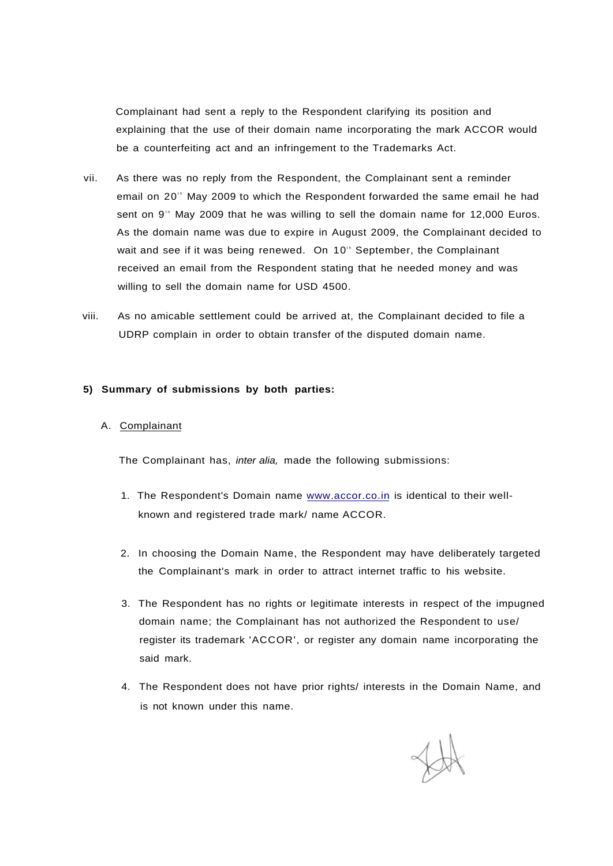Complainant had sent a reply to the Respondent clarifying its position and explaining that the use of their domain name incorporating the mark ACCOR would be a counterfeiting act and an infringement to the Trademarks Act.

- vii. As there was no reply from the Respondent, the Complainant sent a reminder email on 20<sup>th</sup> May 2009 to which the Respondent forwarded the same email he had sent on 9<sup>th</sup> May 2009 that he was willing to sell the domain name for 12,000 Euros. As the domain name was due to expire in August 2009, the Complainant decided to wait and see if it was being renewed. On 10<sup>th</sup> September, the Complainant received an email from the Respondent stating that he needed money and was willing to sell the domain name for USD 4500.
- viii. As no amicable settlement could be arrived at, the Complainant decided to file a UDRP complain in order to obtain transfer of the disputed domain name.

#### **5) Summary of submissions by both parties:**

#### A. Complainant

The Complainant has, inter alia, made the following submissions:

- 1. The Respondent's Domain name [www.accor.co.in](http://www.accor.co.in) is identical to their wellknown and registered trade mark/ name ACCOR.
- 2. In choosing the Domain Name, the Respondent may have deliberately targeted the Complainant's mark in order to attract internet traffic to his website.
- 3. The Respondent has no rights or legitimate interests in respect of the impugned domain name; the Complainant has not authorized the Respondent to use/ register its trademark 'ACCOR', or register any domain name incorporating the said mark.
- 4. The Respondent does not have prior rights/ interests in the Domain Name, and is not known under this name.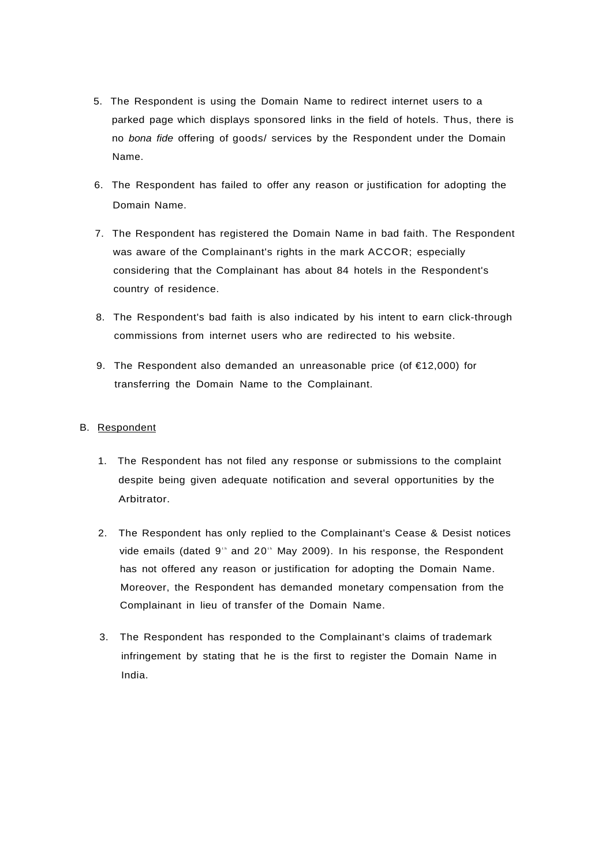- 5. The Respondent is using the Domain Name to redirect internet users to a parked page which displays sponsored links in the field of hotels. Thus, there is no bona fide offering of goods/ services by the Respondent under the Domain Name.
- 6. The Respondent has failed to offer any reason or justification for adopting the Domain Name.
- 7. The Respondent has registered the Domain Name in bad faith. The Respondent was aware of the Complainant's rights in the mark ACCOR; especially considering that the Complainant has about 84 hotels in the Respondent's country of residence.
- 8. The Respondent's bad faith is also indicated by his intent to earn click-through commissions from internet users who are redirected to his website.
- 9. The Respondent also demanded an unreasonable price (of €12,000) for transferring the Domain Name to the Complainant.

#### B. Respondent

- 1. The Respondent has not filed any response or submissions to the complaint despite being given adequate notification and several opportunities by the Arbitrator.
- 2. The Respondent has only replied to the Complainant's Cease & Desist notices vide emails (dated 9<sup>th</sup> and 20<sup>th</sup> May 2009). In his response, the Respondent has not offered any reason or justification for adopting the Domain Name. Moreover, the Respondent has demanded monetary compensation from the Complainant in lieu of transfer of the Domain Name.
- 3. The Respondent has responded to the Complainant's claims of trademark infringement by stating that he is the first to register the Domain Name in India.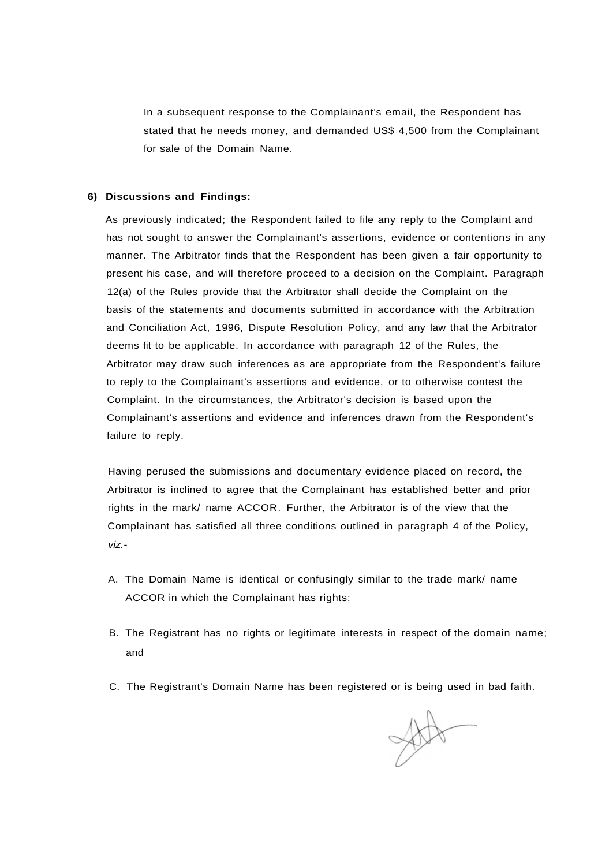In a subsequent response to the Complainant's email, the Respondent has stated that he needs money, and demanded US\$ 4,500 from the Complainant for sale of the Domain Name.

#### **6) Discussions and Findings:**

As previously indicated; the Respondent failed to file any reply to the Complaint and has not sought to answer the Complainant's assertions, evidence or contentions in any manner. The Arbitrator finds that the Respondent has been given a fair opportunity to present his case, and will therefore proceed to a decision on the Complaint. Paragraph 12(a) of the Rules provide that the Arbitrator shall decide the Complaint on the basis of the statements and documents submitted in accordance with the Arbitration and Conciliation Act, 1996, Dispute Resolution Policy, and any law that the Arbitrator deems fit to be applicable. In accordance with paragraph 12 of the Rules, the Arbitrator may draw such inferences as are appropriate from the Respondent's failure to reply to the Complainant's assertions and evidence, or to otherwise contest the Complaint. In the circumstances, the Arbitrator's decision is based upon the Complainant's assertions and evidence and inferences drawn from the Respondent's failure to reply.

Having perused the submissions and documentary evidence placed on record, the Arbitrator is inclined to agree that the Complainant has established better and prior rights in the mark/ name ACCOR. Further, the Arbitrator is of the view that the Complainant has satisfied all three conditions outlined in paragraph 4 of the Policy, viz.-

- A. The Domain Name is identical or confusingly similar to the trade mark/ name ACCOR in which the Complainant has rights;
- B. The Registrant has no rights or legitimate interests in respect of the domain name; and
- C. The Registrant's Domain Name has been registered or is being used in bad faith.

State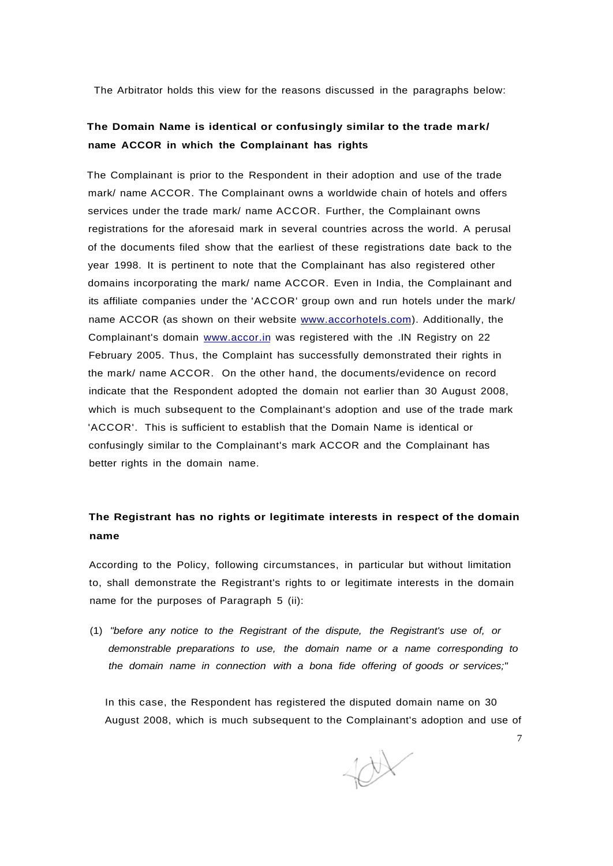The Arbitrator holds this view for the reasons discussed in the paragraphs below:

## **The Domain Name is identical or confusingly similar to the trade mark/ name ACCOR in which the Complainant has rights**

The Complainant is prior to the Respondent in their adoption and use of the trade mark/ name ACCOR. The Complainant owns a worldwide chain of hotels and offers services under the trade mark/ name ACCOR. Further, the Complainant owns registrations for the aforesaid mark in several countries across the world. A perusal of the documents filed show that the earliest of these registrations date back to the year 1998. It is pertinent to note that the Complainant has also registered other domains incorporating the mark/ name ACCOR. Even in India, the Complainant and its affiliate companies under the 'ACCOR' group own and run hotels under the mark/ name ACCOR (as shown on their website [www.accorhotels.com\)](http://www.accorhotels.com). Additionally, the Complainant's domain [www.accor.in](http://www.accor.in) was registered with the .IN Registry on 22 February 2005. Thus, the Complaint has successfully demonstrated their rights in the mark/ name ACCOR. On the other hand, the documents/evidence on record indicate that the Respondent adopted the domain not earlier than 30 August 2008, which is much subsequent to the Complainant's adoption and use of the trade mark 'ACCOR'. This is sufficient to establish that the Domain Name is identical or confusingly similar to the Complainant's mark ACCOR and the Complainant has better rights in the domain name.

## **The Registrant has no rights or legitimate interests in respect of the domain name**

According to the Policy, following circumstances, in particular but without limitation to, shall demonstrate the Registrant's rights to or legitimate interests in the domain name for the purposes of Paragraph 5 (ii):

(1) "before any notice to the Registrant of the dispute, the Registrant's use of, or demonstrable preparations to use, the domain name or a name corresponding to the domain name in connection with a bona fide offering of goods or services;"

In this case, the Respondent has registered the disputed domain name on 30 August 2008, which is much subsequent to the Complainant's adoption and use of

tox

7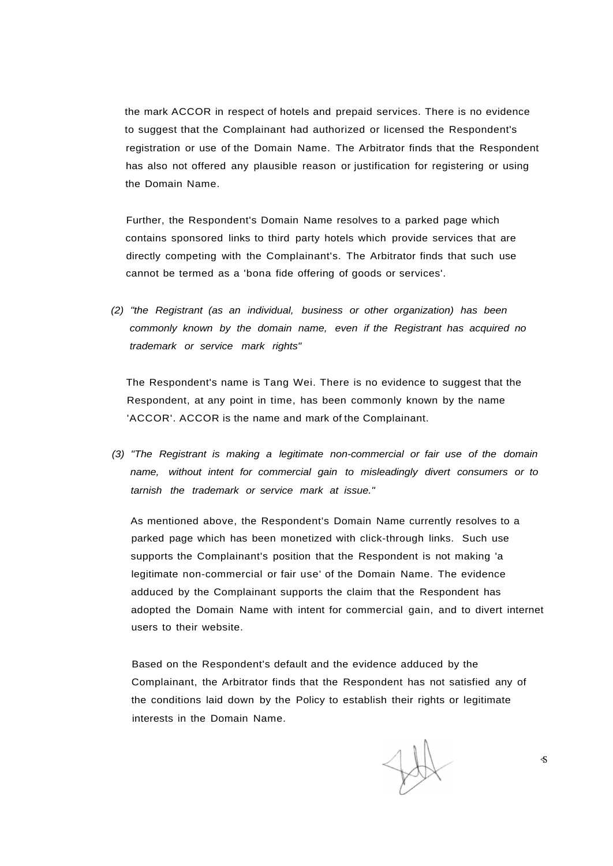the mark ACCOR in respect of hotels and prepaid services. There is no evidence to suggest that the Complainant had authorized or licensed the Respondent's registration or use of the Domain Name. The Arbitrator finds that the Respondent has also not offered any plausible reason or justification for registering or using the Domain Name.

Further, the Respondent's Domain Name resolves to a parked page which contains sponsored links to third party hotels which provide services that are directly competing with the Complainant's. The Arbitrator finds that such use cannot be termed as a 'bona fide offering of goods or services'.

(2) "the Registrant (as an individual, business or other organization) has been commonly known by the domain name, even if the Registrant has acquired no trademark or service mark rights"

The Respondent's name is Tang Wei. There is no evidence to suggest that the Respondent, at any point in time, has been commonly known by the name 'ACCOR'. ACCOR is the name and mark of the Complainant.

(3) "The Registrant is making a legitimate non-commercial or fair use of the domain name, without intent for commercial gain to misleadingly divert consumers or to tarnish the trademark or service mark at issue."

As mentioned above, the Respondent's Domain Name currently resolves to a parked page which has been monetized with click-through links. Such use supports the Complainant's position that the Respondent is not making 'a legitimate non-commercial or fair use' of the Domain Name. The evidence adduced by the Complainant supports the claim that the Respondent has adopted the Domain Name with intent for commercial gain, and to divert internet users to their website.

Based on the Respondent's default and the evidence adduced by the Complainant, the Arbitrator finds that the Respondent has not satisfied any of the conditions laid down by the Policy to establish their rights or legitimate interests in the Domain Name.

 $\mathcal{S}$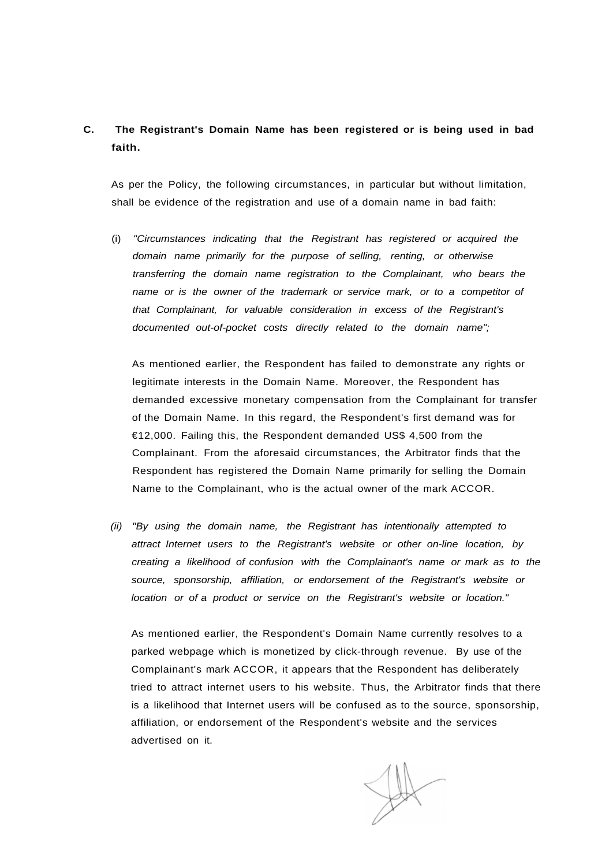## **C. The Registrant's Domain Name has been registered or is being used in bad faith.**

As per the Policy, the following circumstances, in particular but without limitation, shall be evidence of the registration and use of a domain name in bad faith:

(i) "Circumstances indicating that the Registrant has registered or acquired the domain name primarily for the purpose of selling, renting, or otherwise transferring the domain name registration to the Complainant, who bears the name or is the owner of the trademark or service mark, or to a competitor of that Complainant, for valuable consideration in excess of the Registrant's documented out-of-pocket costs directly related to the domain name";

As mentioned earlier, the Respondent has failed to demonstrate any rights or legitimate interests in the Domain Name. Moreover, the Respondent has demanded excessive monetary compensation from the Complainant for transfer of the Domain Name. In this regard, the Respondent's first demand was for €12,000. Failing this, the Respondent demanded US\$ 4,500 from the Complainant. From the aforesaid circumstances, the Arbitrator finds that the Respondent has registered the Domain Name primarily for selling the Domain Name to the Complainant, who is the actual owner of the mark ACCOR.

(ii) "By using the domain name, the Registrant has intentionally attempted to attract Internet users to the Registrant's website or other on-line location, by creating a likelihood of confusion with the Complainant's name or mark as to the source, sponsorship, affiliation, or endorsement of the Registrant's website or location or of a product or service on the Registrant's website or location."

As mentioned earlier, the Respondent's Domain Name currently resolves to a parked webpage which is monetized by click-through revenue. By use of the Complainant's mark ACCOR, it appears that the Respondent has deliberately tried to attract internet users to his website. Thus, the Arbitrator finds that there is a likelihood that Internet users will be confused as to the source, sponsorship, affiliation, or endorsement of the Respondent's website and the services advertised on it.